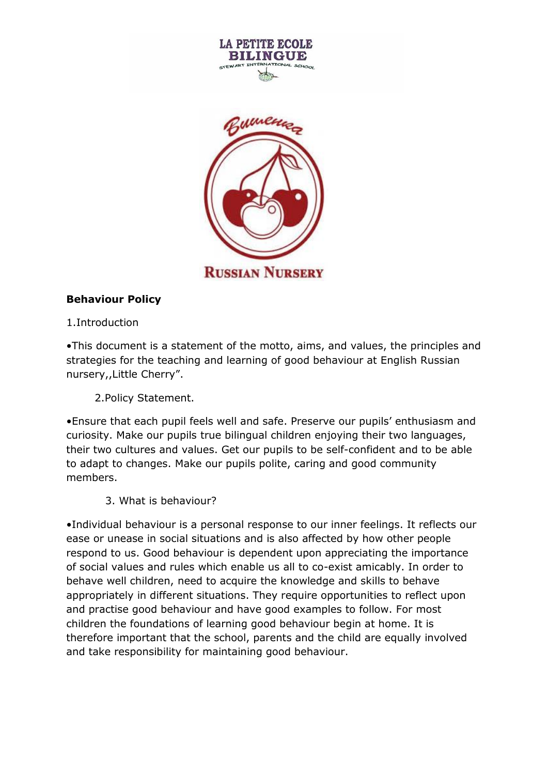

**RUSSIAN NURSERY** 

## **Behaviour Policy**

1.Introduction

•This document is a statement of the motto, aims, and values, the principles and strategies for the teaching and learning of good behaviour at English Russian nursery,,Little Cherry".

2.Policy Statement.

•Ensure that each pupil feels well and safe. Preserve our pupils' enthusiasm and curiosity. Make our pupils true bilingual children enjoying their two languages, their two cultures and values. Get our pupils to be self-confident and to be able to adapt to changes. Make our pupils polite, caring and good community members.

3. What is behaviour?

•Individual behaviour is a personal response to our inner feelings. It reflects our ease or unease in social situations and is also affected by how other people respond to us. Good behaviour is dependent upon appreciating the importance of social values and rules which enable us all to co-exist amicably. In order to behave well children, need to acquire the knowledge and skills to behave appropriately in different situations. They require opportunities to reflect upon and practise good behaviour and have good examples to follow. For most children the foundations of learning good behaviour begin at home. It is therefore important that the school, parents and the child are equally involved and take responsibility for maintaining good behaviour.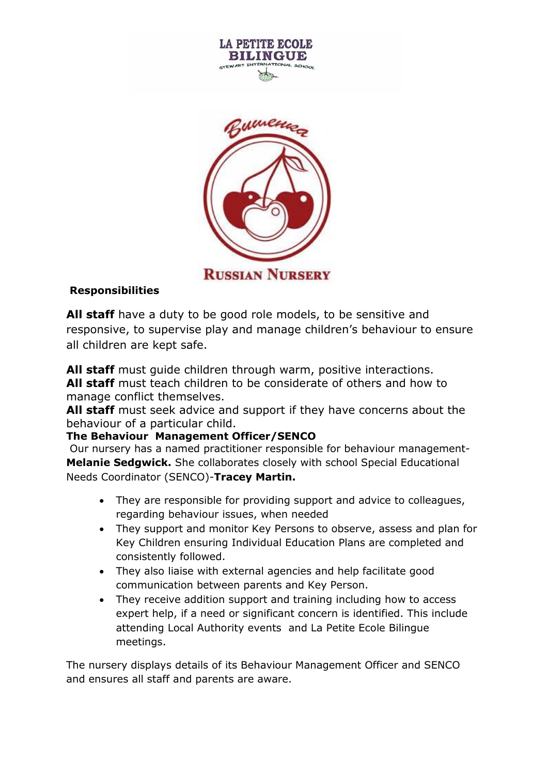



## **Responsibilities**

**All staff** have a duty to be good role models, to be sensitive and responsive, to supervise play and manage children's behaviour to ensure all children are kept safe.

**All staff** must guide children through warm, positive interactions. **All staff** must teach children to be considerate of others and how to manage conflict themselves.

**All staff** must seek advice and support if they have concerns about the behaviour of a particular child.

## **The Behaviour Management Officer/SENCO**

Our nursery has a named practitioner responsible for behaviour management-**Melanie Sedgwick.** She collaborates closely with school Special Educational Needs Coordinator (SENCO)-**Tracey Martin.**

- They are responsible for providing support and advice to colleagues, regarding behaviour issues, when needed
- They support and monitor Key Persons to observe, assess and plan for Key Children ensuring Individual Education Plans are completed and consistently followed.
- They also liaise with external agencies and help facilitate good communication between parents and Key Person.
- They receive addition support and training including how to access expert help, if a need or significant concern is identified. This include attending Local Authority events and La Petite Ecole Bilingue meetings.

The nursery displays details of its Behaviour Management Officer and SENCO and ensures all staff and parents are aware.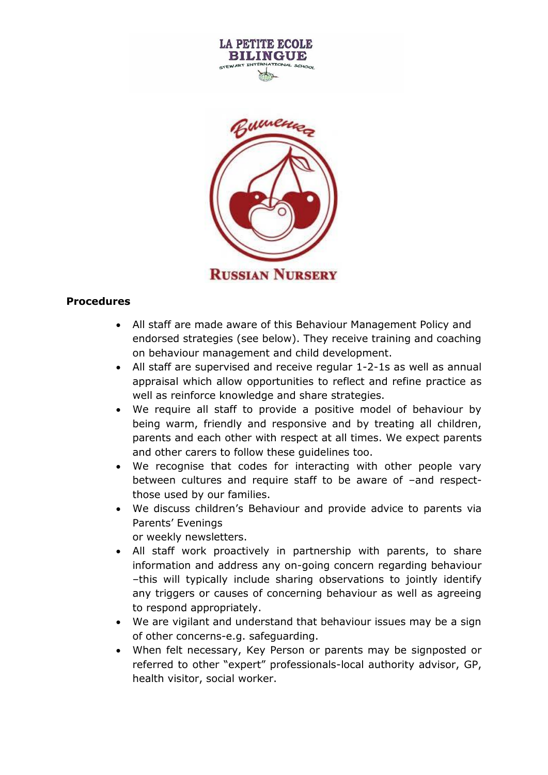



## **Procedures**

- All staff are made aware of this Behaviour Management Policy and endorsed strategies (see below). They receive training and coaching on behaviour management and child development.
- All staff are supervised and receive regular 1-2-1s as well as annual appraisal which allow opportunities to reflect and refine practice as well as reinforce knowledge and share strategies.
- We require all staff to provide a positive model of behaviour by being warm, friendly and responsive and by treating all children, parents and each other with respect at all times. We expect parents and other carers to follow these guidelines too.
- We recognise that codes for interacting with other people vary between cultures and require staff to be aware of –and respectthose used by our families.
- We discuss children's Behaviour and provide advice to parents via Parents' Evenings or weekly newsletters.
- All staff work proactively in partnership with parents, to share information and address any on-going concern regarding behaviour –this will typically include sharing observations to jointly identify any triggers or causes of concerning behaviour as well as agreeing to respond appropriately.
- We are vigilant and understand that behaviour issues may be a sign of other concerns-e.g. safeguarding.
- When felt necessary, Key Person or parents may be signposted or referred to other "expert" professionals-local authority advisor, GP, health visitor, social worker.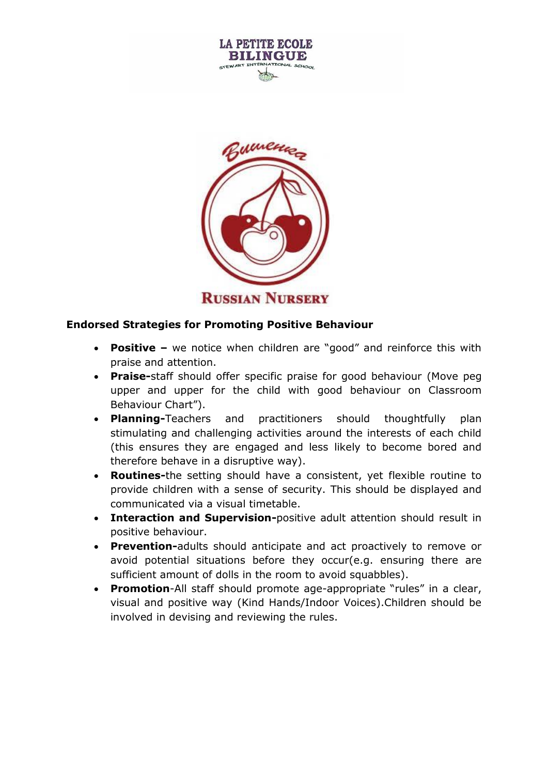



#### **Endorsed Strategies for Promoting Positive Behaviour**

- **Positive –** we notice when children are "good" and reinforce this with praise and attention.
- **Praise-**staff should offer specific praise for good behaviour (Move peg upper and upper for the child with good behaviour on Classroom Behaviour Chart").
- **Planning-**Teachers and practitioners should thoughtfully plan stimulating and challenging activities around the interests of each child (this ensures they are engaged and less likely to become bored and therefore behave in a disruptive way).
- **Routines-**the setting should have a consistent, yet flexible routine to provide children with a sense of security. This should be displayed and communicated via a visual timetable.
- **Interaction and Supervision-**positive adult attention should result in positive behaviour.
- **Prevention-**adults should anticipate and act proactively to remove or avoid potential situations before they occur(e.g. ensuring there are sufficient amount of dolls in the room to avoid squabbles).
- **Promotion-All staff should promote age-appropriate "rules" in a clear,** visual and positive way (Kind Hands/Indoor Voices).Children should be involved in devising and reviewing the rules.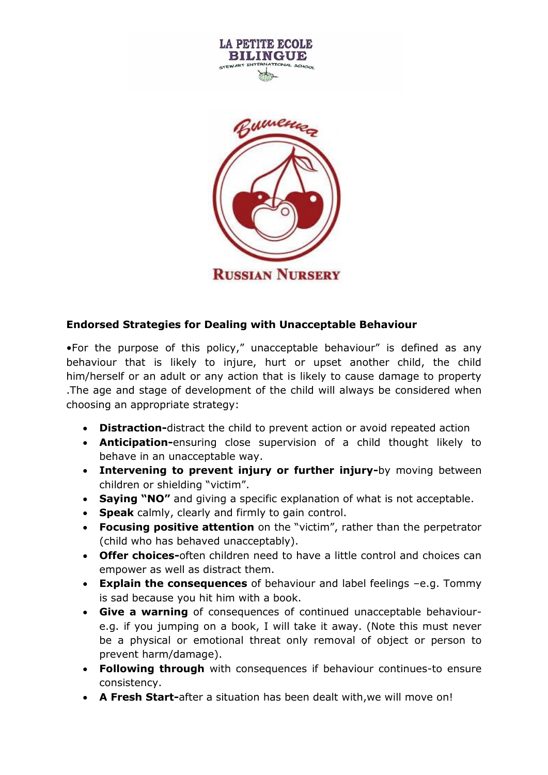

**RUSSIAN NURSERY** 

#### **Endorsed Strategies for Dealing with Unacceptable Behaviour**

•For the purpose of this policy," unacceptable behaviour" is defined as any behaviour that is likely to injure, hurt or upset another child, the child him/herself or an adult or any action that is likely to cause damage to property .The age and stage of development of the child will always be considered when choosing an appropriate strategy:

- **Distraction-**distract the child to prevent action or avoid repeated action
- **Anticipation-**ensuring close supervision of a child thought likely to behave in an unacceptable way.
- **Intervening to prevent injury or further injury-**by moving between children or shielding "victim".
- **Saying "NO"** and giving a specific explanation of what is not acceptable.
- **Speak** calmly, clearly and firmly to gain control.
- **Focusing positive attention** on the "victim", rather than the perpetrator (child who has behaved unacceptably).
- **Offer choices-**often children need to have a little control and choices can empower as well as distract them.
- **Explain the consequences** of behaviour and label feelings –e.g. Tommy is sad because you hit him with a book.
- **Give a warning** of consequences of continued unacceptable behavioure.g. if you jumping on a book, I will take it away. (Note this must never be a physical or emotional threat only removal of object or person to prevent harm/damage).
- **Following through** with consequences if behaviour continues-to ensure consistency.
- **A Fresh Start-**after a situation has been dealt with,we will move on!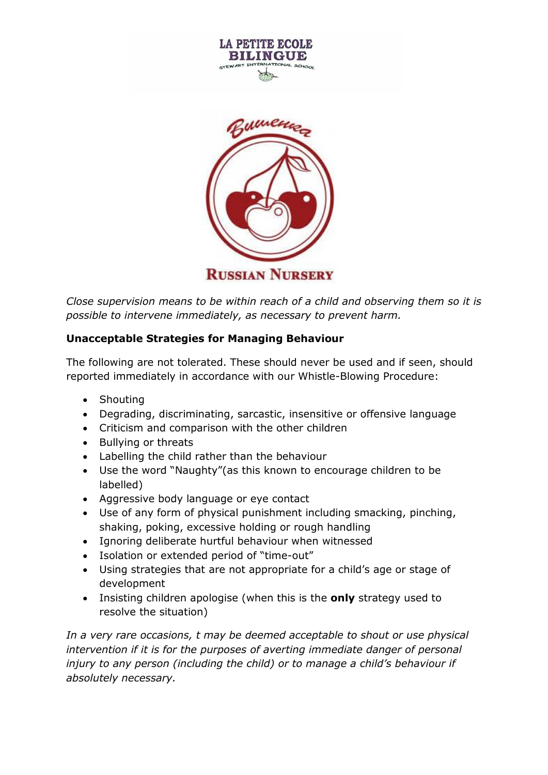



*Close supervision means to be within reach of a child and observing them so it is possible to intervene immediately, as necessary to prevent harm.*

## **Unacceptable Strategies for Managing Behaviour**

The following are not tolerated. These should never be used and if seen, should reported immediately in accordance with our Whistle-Blowing Procedure:

- Shouting
- Degrading, discriminating, sarcastic, insensitive or offensive language
- Criticism and comparison with the other children
- Bullying or threats
- Labelling the child rather than the behaviour
- Use the word "Naughty"(as this known to encourage children to be labelled)
- Aggressive body language or eye contact
- Use of any form of physical punishment including smacking, pinching, shaking, poking, excessive holding or rough handling
- Ignoring deliberate hurtful behaviour when witnessed
- Isolation or extended period of "time-out"
- Using strategies that are not appropriate for a child's age or stage of development
- Insisting children apologise (when this is the **only** strategy used to resolve the situation)

*In a very rare occasions, t may be deemed acceptable to shout or use physical*  intervention if it is for the purposes of averting immediate danger of personal *injury to any person (including the child) or to manage a child's behaviour if absolutely necessary.*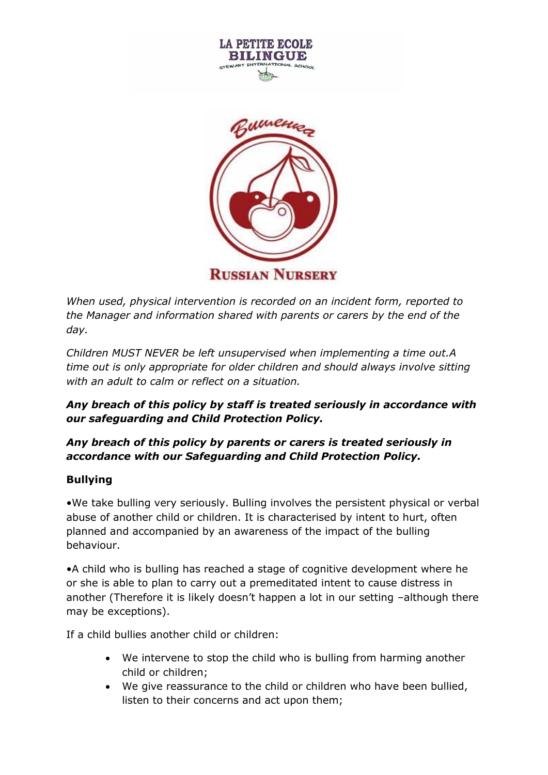



*When used, physical intervention is recorded on an incident form, reported to the Manager and information shared with parents or carers by the end of the day.*

*Children MUST NEVER be left unsupervised when implementing a time out.A time out is only appropriate for older children and should always involve sitting with an adult to calm or reflect on a situation.*

## *Any breach of this policy by staff is treated seriously in accordance with our safeguarding and Child Protection Policy.*

# *Any breach of this policy by parents or carers is treated seriously in accordance with our Safeguarding and Child Protection Policy.*

# **Bullying**

•We take bulling very seriously. Bulling involves the persistent physical or verbal abuse of another child or children. It is characterised by intent to hurt, often planned and accompanied by an awareness of the impact of the bulling behaviour.

•A child who is bulling has reached a stage of cognitive development where he or she is able to plan to carry out a premeditated intent to cause distress in another (Therefore it is likely doesn't happen a lot in our setting –although there may be exceptions).

If a child bullies another child or children:

- We intervene to stop the child who is bulling from harming another child or children;
- We give reassurance to the child or children who have been bullied, listen to their concerns and act upon them;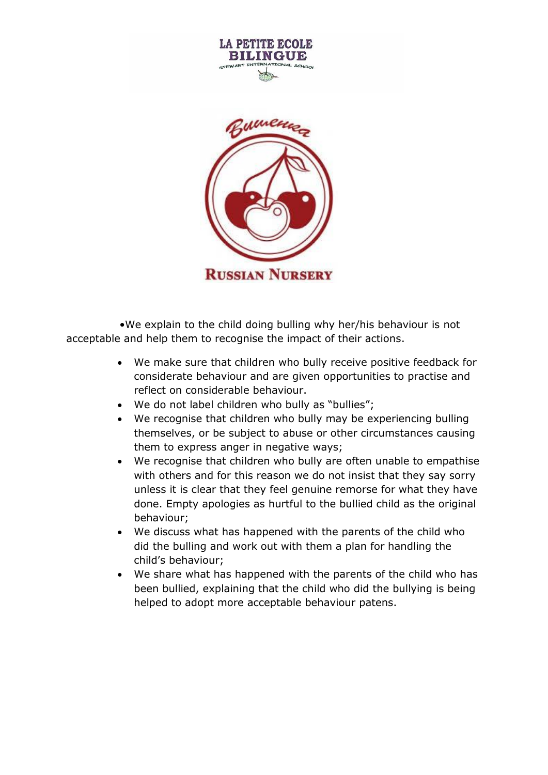

**LA PETITE ECOLE** 

 •We explain to the child doing bulling why her/his behaviour is not acceptable and help them to recognise the impact of their actions.

- We make sure that children who bully receive positive feedback for considerate behaviour and are given opportunities to practise and reflect on considerable behaviour.
- We do not label children who bully as "bullies";
- We recognise that children who bully may be experiencing bulling themselves, or be subject to abuse or other circumstances causing them to express anger in negative ways;
- We recognise that children who bully are often unable to empathise with others and for this reason we do not insist that they say sorry unless it is clear that they feel genuine remorse for what they have done. Empty apologies as hurtful to the bullied child as the original behaviour;
- We discuss what has happened with the parents of the child who did the bulling and work out with them a plan for handling the child's behaviour;
- We share what has happened with the parents of the child who has been bullied, explaining that the child who did the bullying is being helped to adopt more acceptable behaviour patens.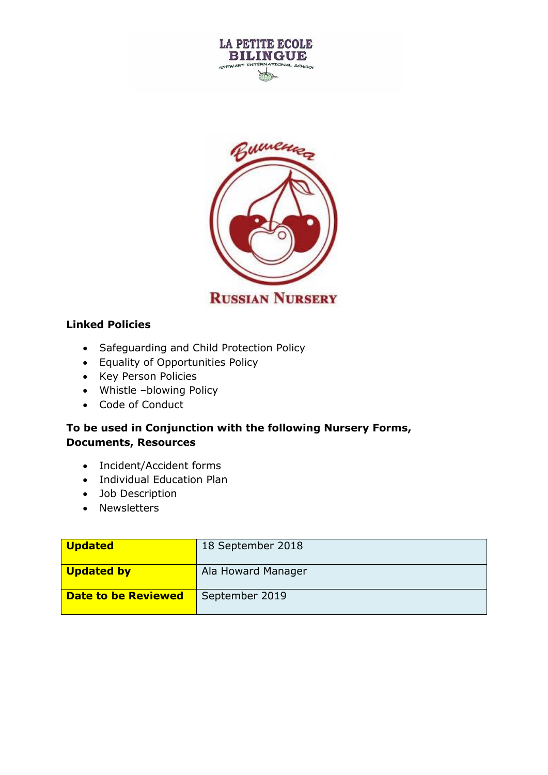



#### **Linked Policies**

- Safeguarding and Child Protection Policy
- Equality of Opportunities Policy
- Key Person Policies
- Whistle –blowing Policy
- Code of Conduct

## **To be used in Conjunction with the following Nursery Forms, Documents, Resources**

- Incident/Accident forms
- Individual Education Plan
- Job Description
- Newsletters

| Updated             | 18 September 2018  |
|---------------------|--------------------|
| Updated by          | Ala Howard Manager |
| Date to be Reviewed | September 2019     |